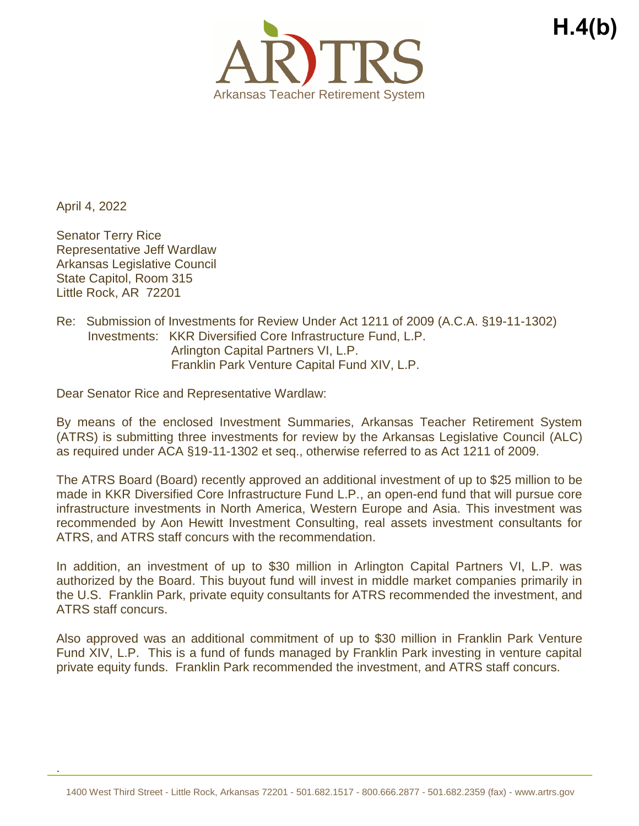

April 4, 2022

.

Senator Terry Rice Representative Jeff Wardlaw Arkansas Legislative Council State Capitol, Room 315 Little Rock, AR 72201

Re: Submission of Investments for Review Under Act 1211 of 2009 (A.C.A. §19-11-1302) Investments: KKR Diversified Core Infrastructure Fund, L.P. Arlington Capital Partners VI, L.P. Franklin Park Venture Capital Fund XIV, L.P.

Dear Senator Rice and Representative Wardlaw:

By means of the enclosed Investment Summaries, Arkansas Teacher Retirement System (ATRS) is submitting three investments for review by the Arkansas Legislative Council (ALC) as required under ACA §19-11-1302 et seq., otherwise referred to as Act 1211 of 2009.

The ATRS Board (Board) recently approved an additional investment of up to \$25 million to be made in KKR Diversified Core Infrastructure Fund L.P., an open-end fund that will pursue core infrastructure investments in North America, Western Europe and Asia. This investment was recommended by Aon Hewitt Investment Consulting, real assets investment consultants for ATRS, and ATRS staff concurs with the recommendation.

In addition, an investment of up to \$30 million in Arlington Capital Partners VI, L.P. was authorized by the Board. This buyout fund will invest in middle market companies primarily in the U.S. Franklin Park, private equity consultants for ATRS recommended the investment, and ATRS staff concurs.

Also approved was an additional commitment of up to \$30 million in Franklin Park Venture Fund XIV, L.P. This is a fund of funds managed by Franklin Park investing in venture capital private equity funds. Franklin Park recommended the investment, and ATRS staff concurs.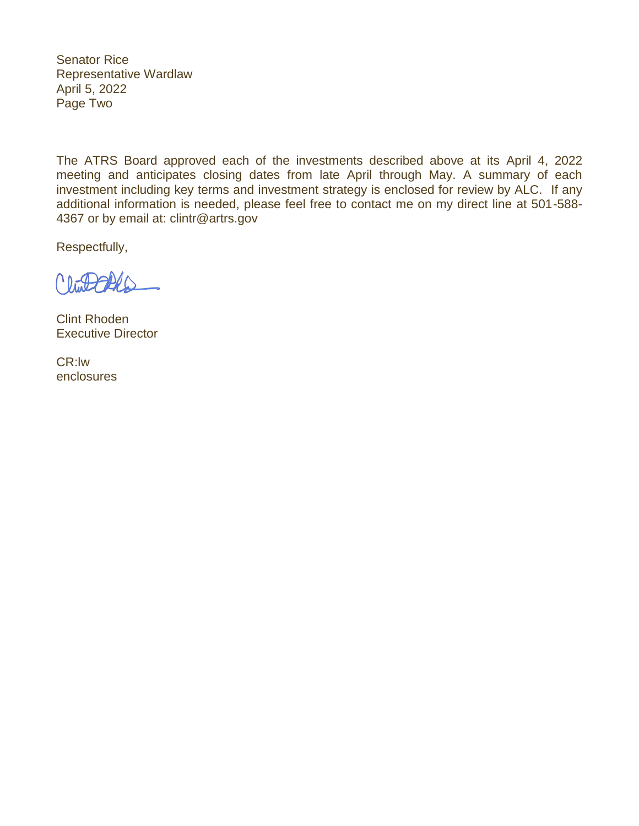Senator Rice Representative Wardlaw April 5, 2022 Page Two

The ATRS Board approved each of the investments described above at its April 4, 2022 meeting and anticipates closing dates from late April through May. A summary of each investment including key terms and investment strategy is enclosed for review by ALC. If any additional information is needed, please feel free to contact me on my direct line at 501-588- 4367 or by email at: clintr@artrs.gov

Respectfully,

Clint Rhoden Executive Director

CR:lw enclosures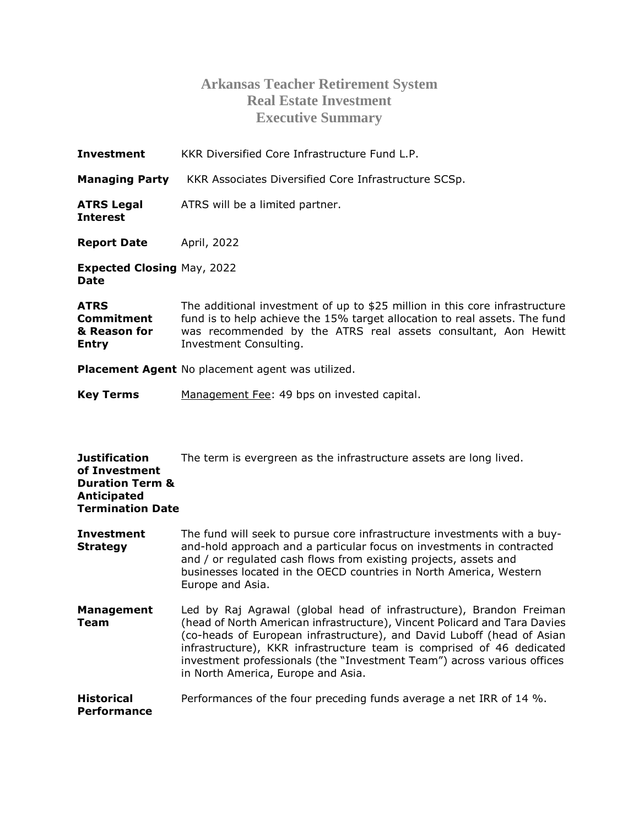## **Arkansas Teacher Retirement System Real Estate Investment Executive Summary**

| Investment                                  | KKR Diversified Core Infrastructure Fund L.P.                                                                                                                                                                                                         |
|---------------------------------------------|-------------------------------------------------------------------------------------------------------------------------------------------------------------------------------------------------------------------------------------------------------|
| <b>Managing Party</b>                       | KKR Associates Diversified Core Infrastructure SCSp.                                                                                                                                                                                                  |
| <b>ATRS Legal</b><br>Interest               | ATRS will be a limited partner.                                                                                                                                                                                                                       |
| <b>Report Date</b>                          | April, 2022                                                                                                                                                                                                                                           |
| <b>Expected Closing May, 2022</b><br>Date   |                                                                                                                                                                                                                                                       |
| ATRS<br>Commitment<br>& Reason for<br>Entry | The additional investment of up to \$25 million in this core infrastructure<br>fund is to help achieve the 15% target allocation to real assets. The fund<br>was recommended by the ATRS real assets consultant, Aon Hewitt<br>Investment Consulting. |
|                                             | <b>Placement Agent</b> No placement agent was utilized.                                                                                                                                                                                               |

**Key Terms**  Management Fee: 49 bps on invested capital.

| <b>Justification</b><br>of Investment<br><b>Duration Term &amp;</b><br><b>Anticipated</b><br><b>Termination Date</b> | The term is evergreen as the infrastructure assets are long lived.                                                                                                                                                                                                                                                                                                                                                   |
|----------------------------------------------------------------------------------------------------------------------|----------------------------------------------------------------------------------------------------------------------------------------------------------------------------------------------------------------------------------------------------------------------------------------------------------------------------------------------------------------------------------------------------------------------|
| <b>Investment</b><br><b>Strategy</b>                                                                                 | The fund will seek to pursue core infrastructure investments with a buy-<br>and-hold approach and a particular focus on investments in contracted<br>and / or regulated cash flows from existing projects, assets and<br>businesses located in the OECD countries in North America, Western<br>Europe and Asia.                                                                                                      |
| <b>Management</b><br>Team                                                                                            | Led by Raj Agrawal (global head of infrastructure), Brandon Freiman<br>(head of North American infrastructure), Vincent Policard and Tara Davies<br>(co-heads of European infrastructure), and David Luboff (head of Asian<br>infrastructure), KKR infrastructure team is comprised of 46 dedicated<br>investment professionals (the "Investment Team") across various offices<br>in North America, Europe and Asia. |
| <b>Historical</b><br><b>Performance</b>                                                                              | Performances of the four preceding funds average a net IRR of 14 %.                                                                                                                                                                                                                                                                                                                                                  |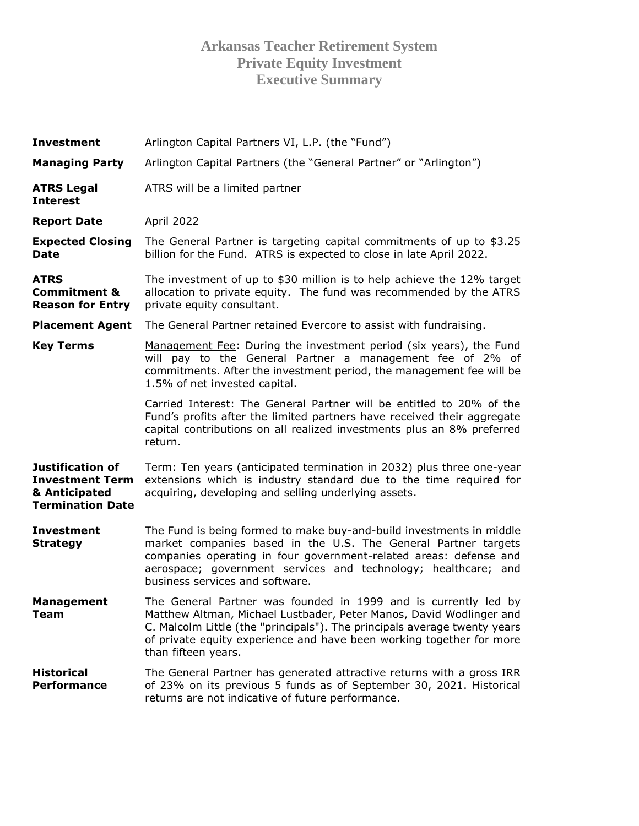## **Arkansas Teacher Retirement System Private Equity Investment Executive Summary**

| <b>Investment</b>                                                                      | Arlington Capital Partners VI, L.P. (the "Fund")                                                                                                                                                                                                                                                                   |
|----------------------------------------------------------------------------------------|--------------------------------------------------------------------------------------------------------------------------------------------------------------------------------------------------------------------------------------------------------------------------------------------------------------------|
| <b>Managing Party</b>                                                                  | Arlington Capital Partners (the "General Partner" or "Arlington")                                                                                                                                                                                                                                                  |
| <b>ATRS Legal</b><br><b>Interest</b>                                                   | ATRS will be a limited partner                                                                                                                                                                                                                                                                                     |
| <b>Report Date</b>                                                                     | April 2022                                                                                                                                                                                                                                                                                                         |
| <b>Expected Closing</b><br>Date                                                        | The General Partner is targeting capital commitments of up to \$3.25<br>billion for the Fund. ATRS is expected to close in late April 2022.                                                                                                                                                                        |
| ATRS<br><b>Commitment &amp;</b><br><b>Reason for Entry</b>                             | The investment of up to \$30 million is to help achieve the 12% target<br>allocation to private equity. The fund was recommended by the ATRS<br>private equity consultant.                                                                                                                                         |
| <b>Placement Agent</b>                                                                 | The General Partner retained Evercore to assist with fundraising.                                                                                                                                                                                                                                                  |
| <b>Key Terms</b>                                                                       | Management Fee: During the investment period (six years), the Fund<br>will pay to the General Partner a management fee of 2% of<br>commitments. After the investment period, the management fee will be<br>1.5% of net invested capital.                                                                           |
|                                                                                        | Carried Interest: The General Partner will be entitled to 20% of the<br>Fund's profits after the limited partners have received their aggregate<br>capital contributions on all realized investments plus an 8% preferred<br>return.                                                                               |
| Justification of<br><b>Investment Term</b><br>& Anticipated<br><b>Termination Date</b> | Term: Ten years (anticipated termination in 2032) plus three one-year<br>extensions which is industry standard due to the time required for<br>acquiring, developing and selling underlying assets.                                                                                                                |
| <b>Investment</b><br><b>Strategy</b>                                                   | The Fund is being formed to make buy-and-build investments in middle<br>market companies based in the U.S. The General Partner targets<br>companies operating in four government-related areas: defense and<br>aerospace; government services and technology; healthcare; and<br>business services and software.   |
| <b>Management</b><br><b>Team</b>                                                       | The General Partner was founded in 1999 and is currently led by<br>Matthew Altman, Michael Lustbader, Peter Manos, David Wodlinger and<br>C. Malcolm Little (the "principals"). The principals average twenty years<br>of private equity experience and have been working together for more<br>than fifteen years. |
| <b>Historical</b><br><b>Performance</b>                                                | The General Partner has generated attractive returns with a gross IRR<br>of 23% on its previous 5 funds as of September 30, 2021. Historical<br>returns are not indicative of future performance.                                                                                                                  |